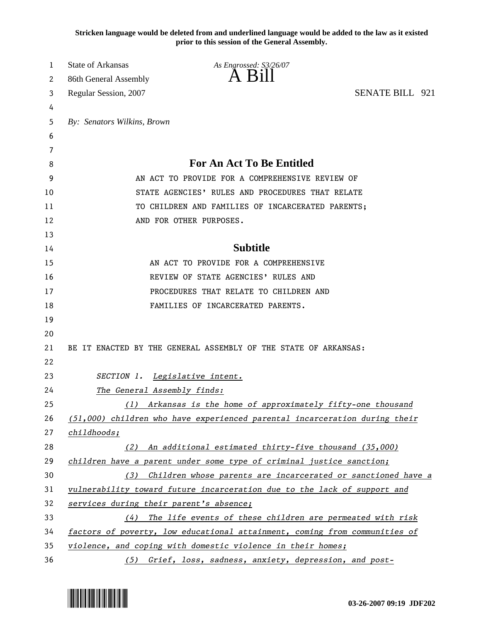**Stricken language would be deleted from and underlined language would be added to the law as it existed prior to this session of the General Assembly.**

| 1  | <b>State of Arkansas</b>                | As Engrossed: S3/26/07                                                     |                        |
|----|-----------------------------------------|----------------------------------------------------------------------------|------------------------|
| 2  | 86th General Assembly                   | $\overline{A}$ $\overline{B}1$                                             |                        |
| 3  | Regular Session, 2007                   |                                                                            | <b>SENATE BILL 921</b> |
| 4  |                                         |                                                                            |                        |
| 5  | By: Senators Wilkins, Brown             |                                                                            |                        |
| 6  |                                         |                                                                            |                        |
| 7  |                                         |                                                                            |                        |
| 8  |                                         | <b>For An Act To Be Entitled</b>                                           |                        |
| 9  |                                         | AN ACT TO PROVIDE FOR A COMPREHENSIVE REVIEW OF                            |                        |
| 10 |                                         | STATE AGENCIES' RULES AND PROCEDURES THAT RELATE                           |                        |
| 11 |                                         | TO CHILDREN AND FAMILIES OF INCARCERATED PARENTS;                          |                        |
| 12 |                                         | AND FOR OTHER PURPOSES.                                                    |                        |
| 13 |                                         |                                                                            |                        |
| 14 |                                         | <b>Subtitle</b>                                                            |                        |
| 15 |                                         | AN ACT TO PROVIDE FOR A COMPREHENSIVE                                      |                        |
| 16 |                                         | REVIEW OF STATE AGENCIES' RULES AND                                        |                        |
| 17 |                                         | PROCEDURES THAT RELATE TO CHILDREN AND                                     |                        |
| 18 |                                         | FAMILIES OF INCARCERATED PARENTS.                                          |                        |
| 19 |                                         |                                                                            |                        |
| 20 |                                         |                                                                            |                        |
| 21 |                                         | BE IT ENACTED BY THE GENERAL ASSEMBLY OF THE STATE OF ARKANSAS:            |                        |
| 22 |                                         |                                                                            |                        |
| 23 | SECTION 1.                              | Legislative intent.                                                        |                        |
| 24 | The General Assembly finds:             |                                                                            |                        |
| 25 | (1)                                     | Arkansas is the home of approximately fifty-one thousand                   |                        |
| 26 |                                         | (51,000) children who have experienced parental incarceration during their |                        |
| 27 | childhoods;                             |                                                                            |                        |
| 28 |                                         | (2) An additional estimated thirty-five thousand $(35,000)$                |                        |
| 29 |                                         | children have a parent under some type of criminal justice sanction;       |                        |
| 30 | (3)                                     | Children whose parents are incarcerated or sanctioned have a               |                        |
| 31 |                                         | vulnerability toward future incarceration due to the lack of support and   |                        |
| 32 | services during their parent's absence; |                                                                            |                        |
| 33 | (4)                                     | The life events of these children are permeated with risk                  |                        |
| 34 |                                         | factors of poverty, low educational attainment, coming from communities of |                        |
| 35 |                                         | violence, and coping with domestic violence in their homes;                |                        |
| 36 |                                         | (5) Grief, loss, sadness, anxiety, depression, and post-                   |                        |

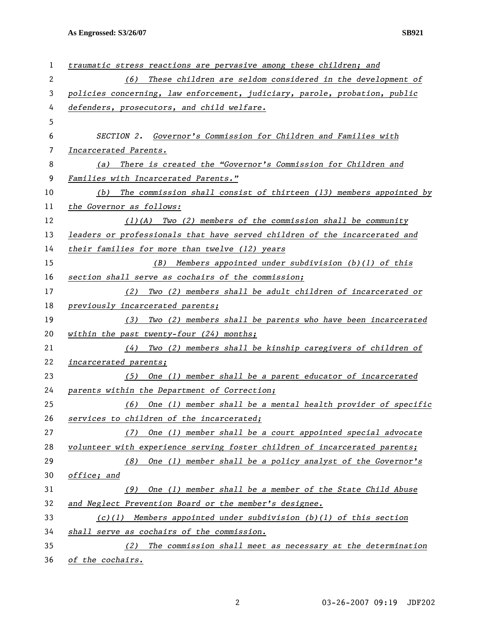**As Engrossed: S3/26/07 SB921** 

| 1  | traumatic stress reactions are pervasive among these children; and         |  |  |
|----|----------------------------------------------------------------------------|--|--|
| 2  | These children are seldom considered in the development of<br>(6)          |  |  |
| 3  | policies concerning, law enforcement, judiciary, parole, probation, public |  |  |
| 4  | defenders, prosecutors, and child welfare.                                 |  |  |
| 5  |                                                                            |  |  |
| 6  | SECTION 2. Governor's Commission for Children and Families with            |  |  |
| 7  | Incarcerated Parents.                                                      |  |  |
| 8  | There is created the "Governor's Commission for Children and<br>(a)        |  |  |
| 9  | Families with Incarcerated Parents."                                       |  |  |
| 10 | The commission shall consist of thirteen (13) members appointed by<br>(b)  |  |  |
| 11 | the Governor as follows:                                                   |  |  |
| 12 | $(1)(A)$ Two (2) members of the commission shall be community              |  |  |
| 13 | leaders or professionals that have served children of the incarcerated and |  |  |
| 14 | their families for more than twelve (12) years                             |  |  |
| 15 | (B)<br>Members appointed under subdivision $(b)(1)$ of this                |  |  |
| 16 | section shall serve as cochairs of the commission;                         |  |  |
| 17 | Two (2) members shall be adult children of incarcerated or<br>(2)          |  |  |
| 18 | previously incarcerated parents;                                           |  |  |
| 19 | (3) Two (2) members shall be parents who have been incarcerated            |  |  |
| 20 | within the past twenty-four $(24)$ months;                                 |  |  |
| 21 | (4) Two (2) members shall be kinship caregivers of children of             |  |  |
| 22 | incarcerated parents;                                                      |  |  |
| 23 | (5) One (1) member shall be a parent educator of incarcerated              |  |  |
| 24 | parents within the Department of Correction;                               |  |  |
| 25 | One (1) member shall be a mental health provider of specific<br>(6)        |  |  |
| 26 | services to children of the incarcerated;                                  |  |  |
| 27 | One (1) member shall be a court appointed special advocate<br>(7)          |  |  |
| 28 | volunteer with experience serving foster children of incarcerated parents; |  |  |
| 29 | One (1) member shall be a policy analyst of the Governor's<br>(8)          |  |  |
| 30 | office; and                                                                |  |  |
| 31 | One (1) member shall be a member of the State Child Abuse<br>(9)           |  |  |
| 32 | and Neglect Prevention Board or the member's designee.                     |  |  |
| 33 | Members appointed under subdivision $(b)(1)$ of this section<br>(c)(1)     |  |  |
| 34 | shall serve as cochairs of the commission.                                 |  |  |
| 35 | The commission shall meet as necessary at the determination<br>(2)         |  |  |
| 36 | of the cochairs.                                                           |  |  |